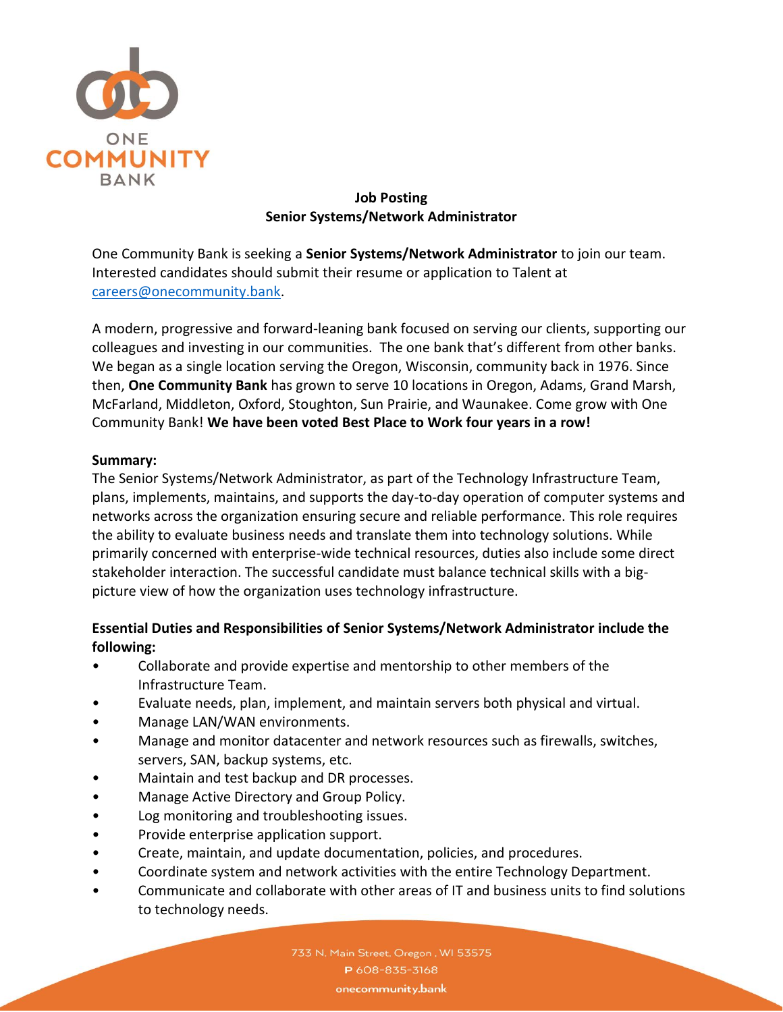

### **Job Posting Senior Systems/Network Administrator**

One Community Bank is seeking a **Senior Systems/Network Administrator** to join our team. Interested candidates should submit their resume or application to Talent at [careers@onecommunity.bank.](mailto:careers@onecommunity.bank)

A modern, progressive and forward-leaning bank focused on serving our clients, supporting our colleagues and investing in our communities. The one bank that's different from other banks. We began as a single location serving the Oregon, Wisconsin, community back in 1976. Since then, **One Community Bank** has grown to serve 10 locations in Oregon, Adams, Grand Marsh, McFarland, Middleton, Oxford, Stoughton, Sun Prairie, and Waunakee. Come grow with One Community Bank! **We have been voted Best Place to Work four years in a row!**

#### **Summary:**

The Senior Systems/Network Administrator, as part of the Technology Infrastructure Team, plans, implements, maintains, and supports the day-to-day operation of computer systems and networks across the organization ensuring secure and reliable performance. This role requires the ability to evaluate business needs and translate them into technology solutions. While primarily concerned with enterprise-wide technical resources, duties also include some direct stakeholder interaction. The successful candidate must balance technical skills with a bigpicture view of how the organization uses technology infrastructure.

# **Essential Duties and Responsibilities of Senior Systems/Network Administrator include the following:**

- Collaborate and provide expertise and mentorship to other members of the Infrastructure Team.
- Evaluate needs, plan, implement, and maintain servers both physical and virtual.
- Manage LAN/WAN environments.
- Manage and monitor datacenter and network resources such as firewalls, switches, servers, SAN, backup systems, etc.
- Maintain and test backup and DR processes.
- Manage Active Directory and Group Policy.
- Log monitoring and troubleshooting issues.
- Provide enterprise application support.
- Create, maintain, and update documentation, policies, and procedures.
- Coordinate system and network activities with the entire Technology Department.
- Communicate and collaborate with other areas of IT and business units to find solutions to technology needs.

733 N. Main Street, Oregon, WI 53575 P 608-835-3168 onecommunity.bank